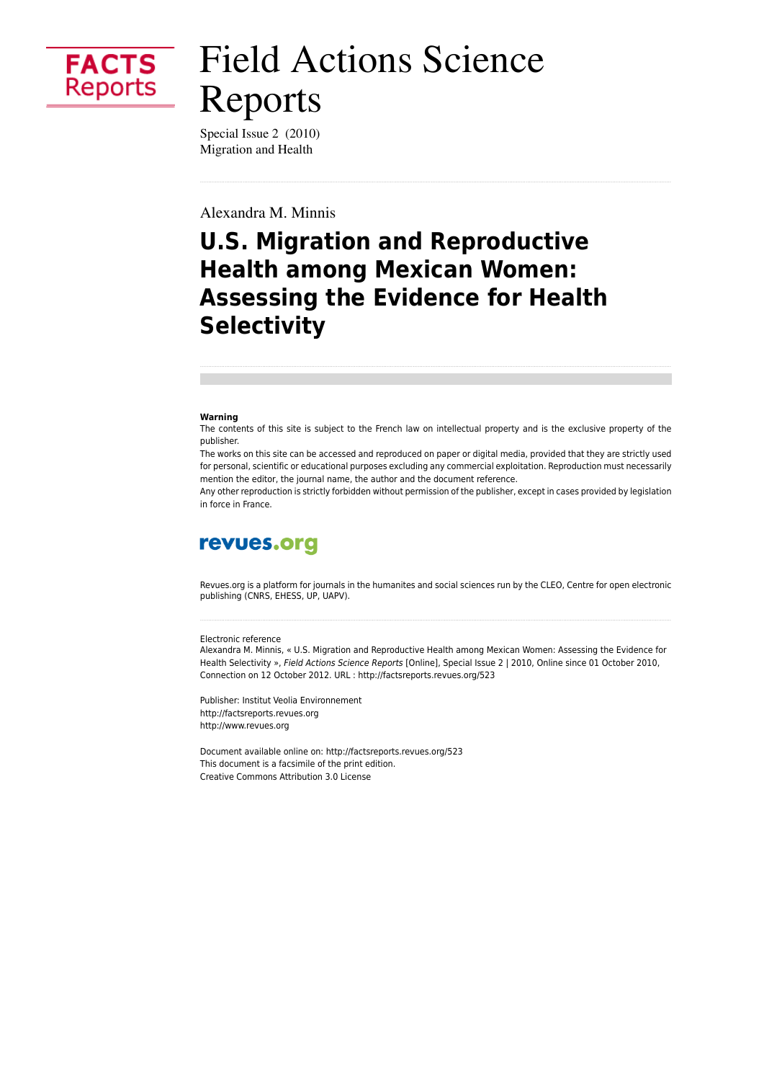

# **Field Actions Science** Reports

Special Issue 2 (2010) Migration and Health

Alexandra M. Minnis

## **U.S. Migration and Reproductive Health among Mexican Women: Assessing the Evidence for Health Selectivity**

#### Warning

The contents of this site is subject to the French law on intellectual property and is the exclusive property of the publisher.

The works on this site can be accessed and reproduced on paper or digital media, provided that they are strictly used for personal, scientific or educational purposes excluding any commercial exploitation. Reproduction must necessarily mention the editor, the journal name, the author and the document reference.

Any other reproduction is strictly forbidden without permission of the publisher, except in cases provided by legislation in force in France.

### revues.org

Revues org is a platform for journals in the humanites and social sciences run by the CLEO. Centre for open electronic publishing (CNRS, EHESS, UP, UAPV).

#### Electronic reference

Alexandra M. Minnis, « U.S. Migration and Reproductive Health among Mexican Women: Assessing the Evidence for Health Selectivity », Field Actions Science Reports [Online], Special Issue 2 | 2010, Online since 01 October 2010, Connection on 12 October 2012. URL : http://factsreports.revues.org/523

Publisher: Institut Veolia Environnement http://factsreports.revues.org http://www.revues.org

Document available online on: http://factsreports.revues.org/523 This document is a facsimile of the print edition. Creative Commons Attribution 3.0 License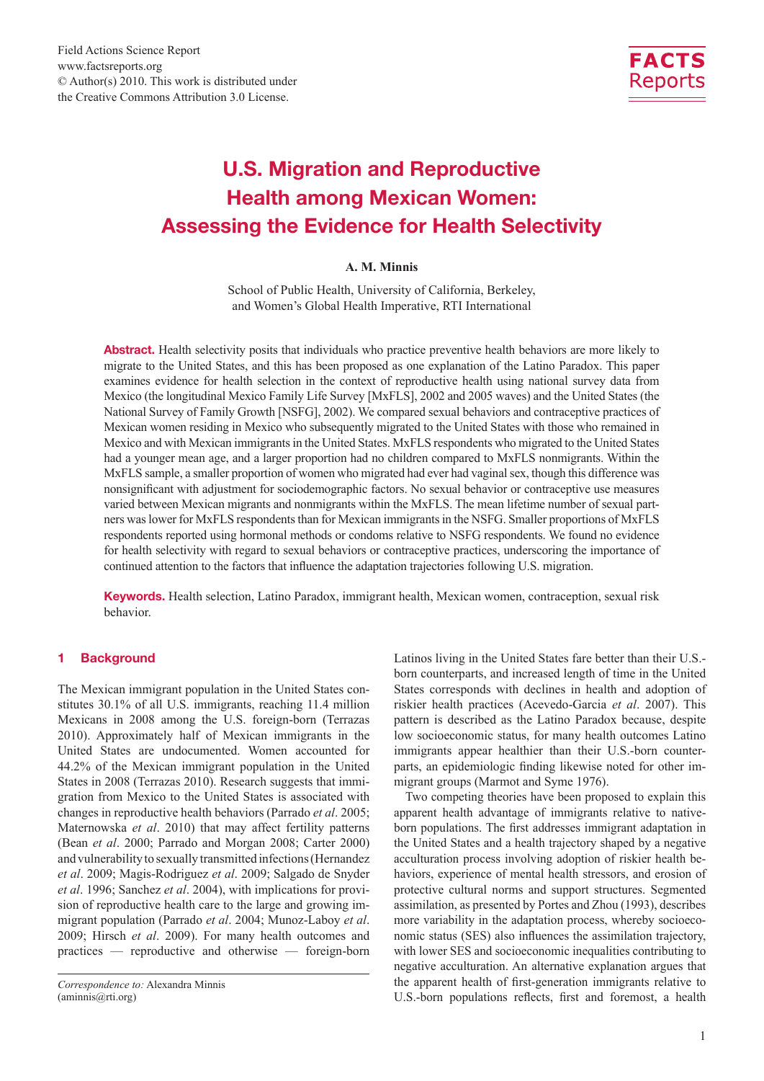

### U.S. Migration and Reproductive Health among Mexican Women: Assessing the Evidence for Health Selectivity

#### **A. M. Minnis**

School of Public Health, University of California, Berkeley, and Women's Global Health Imperative, RTI International

Abstract. Health selectivity posits that individuals who practice preventive health behaviors are more likely to migrate to the United States, and this has been proposed as one explanation of the Latino Paradox. This paper examines evidence for health selection in the context of reproductive health using national survey data from Mexico (the longitudinal Mexico Family Life Survey [MxFLS], 2002 and 2005 waves) and the United States (the National Survey of Family Growth [NSFG], 2002). We compared sexual behaviors and contraceptive practices of Mexican women residing in Mexico who subsequently migrated to the United States with those who remained in Mexico and with Mexican immigrants in the United States. MxFLS respondents who migrated to the United States had a younger mean age, and a larger proportion had no children compared to MxFLS nonmigrants. Within the MxFLS sample, a smaller proportion of women who migrated had ever had vaginal sex, though this difference was nonsignificant with adjustment for sociodemographic factors. No sexual behavior or contraceptive use measures varied between Mexican migrants and nonmigrants within the MxFLS. The mean lifetime number of sexual partners was lower for MxFLS respondents than for Mexican immigrants in the NSFG. Smaller proportions of MxFLS respondents reported using hormonal methods or condoms relative to NSFG respondents. We found no evidence for health selectivity with regard to sexual behaviors or contraceptive practices, underscoring the importance of continued attention to the factors that influence the adaptation trajectories following U.S. migration.

Keywords. Health selection, Latino Paradox, immigrant health, Mexican women, contraception, sexual risk behavior.

#### 1 Background

The Mexican immigrant population in the United States constitutes 30.1% of all U.S. immigrants, reaching 11.4 million Mexicans in 2008 among the U.S. foreign-born (Terrazas 2010). Approximately half of Mexican immigrants in the United States are undocumented. Women accounted for 44.2% of the Mexican immigrant population in the United States in 2008 (Terrazas 2010). Research suggests that immigration from Mexico to the United States is associated with changes in reproductive health behaviors (Parrado *et al*. 2005; Maternowska *et al*. 2010) that may affect fertility patterns (Bean *et al*. 2000; Parrado and Morgan 2008; Carter 2000) and vulnerability to sexually transmitted infections (Hernandez *et al*. 2009; Magis-Rodriguez *et al*. 2009; Salgado de Snyder *et al*. 1996; Sanchez *et al*. 2004), with implications for provision of reproductive health care to the large and growing immigrant population (Parrado *et al*. 2004; Munoz-Laboy *et al*. 2009; Hirsch *et al*. 2009). For many health outcomes and practices — reproductive and otherwise — foreign-born Latinos living in the United States fare better than their U.S. born counterparts, and increased length of time in the United States corresponds with declines in health and adoption of riskier health practices (Acevedo-Garcia *et al*. 2007). This pattern is described as the Latino Paradox because, despite low socioeconomic status, for many health outcomes Latino immigrants appear healthier than their U.S.-born counterparts, an epidemiologic finding likewise noted for other immigrant groups (Marmot and Syme 1976).

Two competing theories have been proposed to explain this apparent health advantage of immigrants relative to nativeborn populations. The first addresses immigrant adaptation in the United States and a health trajectory shaped by a negative acculturation process involving adoption of riskier health behaviors, experience of mental health stressors, and erosion of protective cultural norms and support structures. Segmented assimilation, as presented by Portes and Zhou (1993), describes more variability in the adaptation process, whereby socioeconomic status (SES) also influences the assimilation trajectory, with lower SES and socioeconomic inequalities contributing to negative acculturation. An alternative explanation argues that the apparent health of first-generation immigrants relative to U.S.-born populations reflects, first and foremost, a health

*Correspondence to:* Alexandra Minnis (aminnis@rti.org)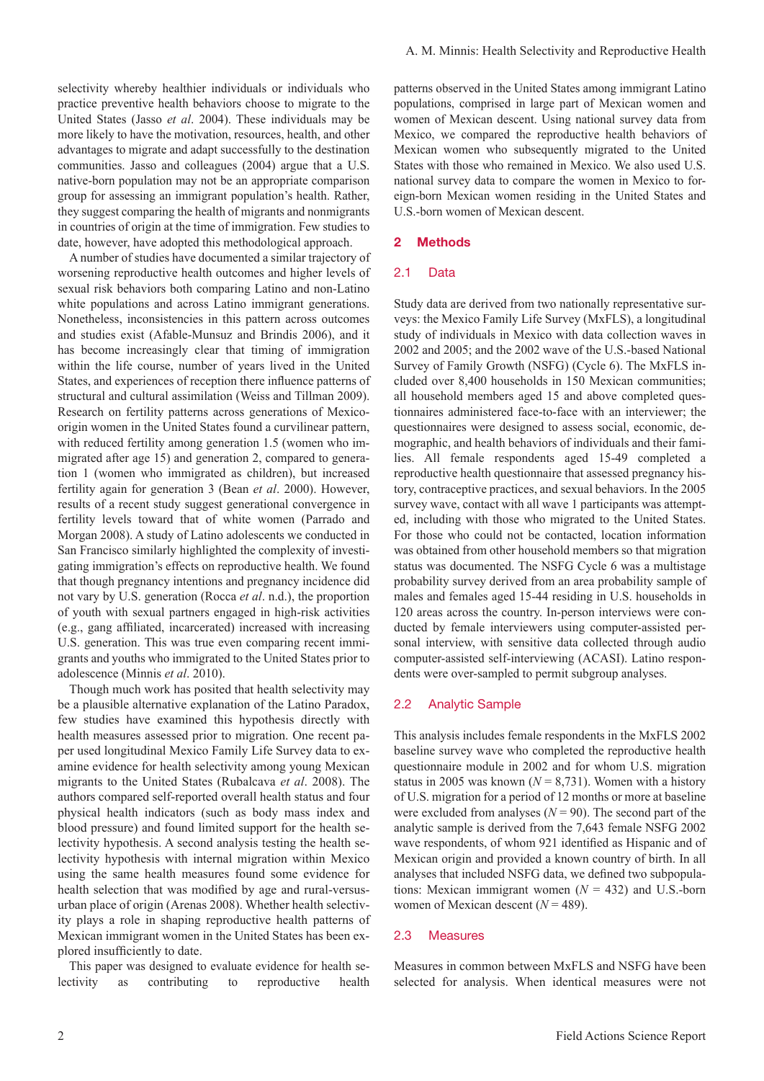selectivity whereby healthier individuals or individuals who practice preventive health behaviors choose to migrate to the United States (Jasso *et al*. 2004). These individuals may be more likely to have the motivation, resources, health, and other advantages to migrate and adapt successfully to the destination communities. Jasso and colleagues (2004) argue that a U.S. native-born population may not be an appropriate comparison group for assessing an immigrant population's health. Rather, they suggest comparing the health of migrants and nonmigrants in countries of origin at the time of immigration. Few studies to date, however, have adopted this methodological approach.

A number of studies have documented a similar trajectory of worsening reproductive health outcomes and higher levels of sexual risk behaviors both comparing Latino and non-Latino white populations and across Latino immigrant generations. Nonetheless, inconsistencies in this pattern across outcomes and studies exist (Afable-Munsuz and Brindis 2006), and it has become increasingly clear that timing of immigration within the life course, number of years lived in the United States, and experiences of reception there influence patterns of structural and cultural assimilation (Weiss and Tillman 2009). Research on fertility patterns across generations of Mexicoorigin women in the United States found a curvilinear pattern, with reduced fertility among generation 1.5 (women who immigrated after age 15) and generation 2, compared to generation 1 (women who immigrated as children), but increased fertility again for generation 3 (Bean *et al*. 2000). However, results of a recent study suggest generational convergence in fertility levels toward that of white women (Parrado and Morgan 2008). A study of Latino adolescents we conducted in San Francisco similarly highlighted the complexity of investigating immigration's effects on reproductive health. We found that though pregnancy intentions and pregnancy incidence did not vary by U.S. generation (Rocca *et al*. n.d.), the proportion of youth with sexual partners engaged in high-risk activities (e.g., gang affiliated, incarcerated) increased with increasing U.S. generation. This was true even comparing recent immigrants and youths who immigrated to the United States prior to adolescence (Minnis *et al*. 2010).

Though much work has posited that health selectivity may be a plausible alternative explanation of the Latino Paradox, few studies have examined this hypothesis directly with health measures assessed prior to migration. One recent paper used longitudinal Mexico Family Life Survey data to examine evidence for health selectivity among young Mexican migrants to the United States (Rubalcava *et al*. 2008). The authors compared self-reported overall health status and four physical health indicators (such as body mass index and blood pressure) and found limited support for the health selectivity hypothesis. A second analysis testing the health selectivity hypothesis with internal migration within Mexico using the same health measures found some evidence for health selection that was modified by age and rural-versusurban place of origin (Arenas 2008). Whether health selectivity plays a role in shaping reproductive health patterns of Mexican immigrant women in the United States has been explored insufficiently to date.

This paper was designed to evaluate evidence for health selectivity as contributing to reproductive health patterns observed in the United States among immigrant Latino populations, comprised in large part of Mexican women and women of Mexican descent. Using national survey data from Mexico, we compared the reproductive health behaviors of Mexican women who subsequently migrated to the United States with those who remained in Mexico. We also used U.S. national survey data to compare the women in Mexico to foreign-born Mexican women residing in the United States and U.S.-born women of Mexican descent.

#### 2 Methods

#### 2.1 Data

Study data are derived from two nationally representative surveys: the Mexico Family Life Survey (MxFLS), a longitudinal study of individuals in Mexico with data collection waves in 2002 and 2005; and the 2002 wave of the U.S.-based National Survey of Family Growth (NSFG) (Cycle 6). The MxFLS included over 8,400 households in 150 Mexican communities; all household members aged 15 and above completed questionnaires administered face-to-face with an interviewer; the questionnaires were designed to assess social, economic, demographic, and health behaviors of individuals and their families. All female respondents aged 15-49 completed a reproductive health questionnaire that assessed pregnancy history, contraceptive practices, and sexual behaviors. In the 2005 survey wave, contact with all wave 1 participants was attempted, including with those who migrated to the United States. For those who could not be contacted, location information was obtained from other household members so that migration status was documented. The NSFG Cycle 6 was a multistage probability survey derived from an area probability sample of males and females aged 15-44 residing in U.S. households in 120 areas across the country. In-person interviews were conducted by female interviewers using computer-assisted personal interview, with sensitive data collected through audio computer-assisted self-interviewing (ACASI). Latino respondents were over-sampled to permit subgroup analyses.

#### 2.2 Analytic Sample

This analysis includes female respondents in the MxFLS 2002 baseline survey wave who completed the reproductive health questionnaire module in 2002 and for whom U.S. migration status in 2005 was known  $(N = 8.731)$ . Women with a history of U.S. migration for a period of 12 months or more at baseline were excluded from analyses  $(N = 90)$ . The second part of the analytic sample is derived from the 7,643 female NSFG 2002 wave respondents, of whom 921 identified as Hispanic and of Mexican origin and provided a known country of birth. In all analyses that included NSFG data, we defined two subpopulations: Mexican immigrant women  $(N = 432)$  and U.S.-born women of Mexican descent (*N* = 489).

#### 2.3 Measures

Measures in common between MxFLS and NSFG have been selected for analysis. When identical measures were not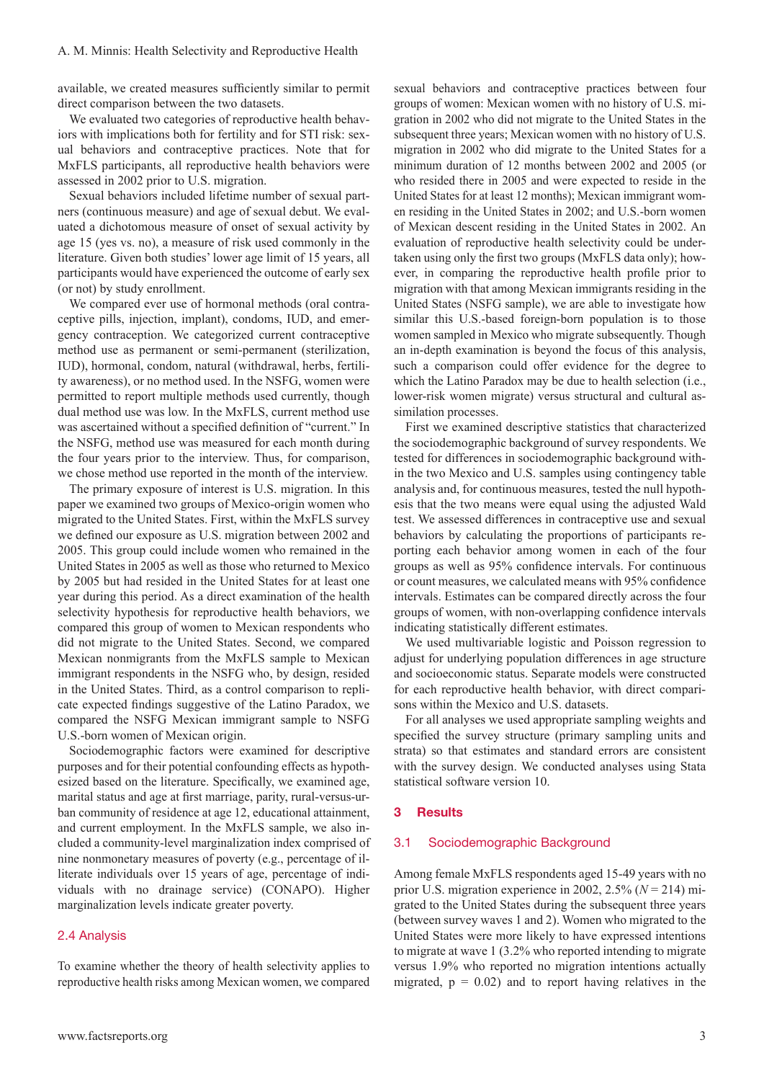available, we created measures sufficiently similar to permit direct comparison between the two datasets.

We evaluated two categories of reproductive health behaviors with implications both for fertility and for STI risk: sexual behaviors and contraceptive practices. Note that for MxFLS participants, all reproductive health behaviors were assessed in 2002 prior to U.S. migration.

Sexual behaviors included lifetime number of sexual partners (continuous measure) and age of sexual debut. We evaluated a dichotomous measure of onset of sexual activity by age 15 (yes vs. no), a measure of risk used commonly in the literature. Given both studies' lower age limit of 15 years, all participants would have experienced the outcome of early sex (or not) by study enrollment.

We compared ever use of hormonal methods (oral contraceptive pills, injection, implant), condoms, IUD, and emergency contraception. We categorized current contraceptive method use as permanent or semi-permanent (sterilization, IUD), hormonal, condom, natural (withdrawal, herbs, fertility awareness), or no method used. In the NSFG, women were permitted to report multiple methods used currently, though dual method use was low. In the MxFLS, current method use was ascertained without a specified definition of "current." In the NSFG, method use was measured for each month during the four years prior to the interview. Thus, for comparison, we chose method use reported in the month of the interview.

The primary exposure of interest is U.S. migration. In this paper we examined two groups of Mexico-origin women who migrated to the United States. First, within the MxFLS survey we defined our exposure as U.S. migration between 2002 and 2005. This group could include women who remained in the United States in 2005 as well as those who returned to Mexico by 2005 but had resided in the United States for at least one year during this period. As a direct examination of the health selectivity hypothesis for reproductive health behaviors, we compared this group of women to Mexican respondents who did not migrate to the United States. Second, we compared Mexican nonmigrants from the MxFLS sample to Mexican immigrant respondents in the NSFG who, by design, resided in the United States. Third, as a control comparison to replicate expected findings suggestive of the Latino Paradox, we compared the NSFG Mexican immigrant sample to NSFG U.S.-born women of Mexican origin.

Sociodemographic factors were examined for descriptive purposes and for their potential confounding effects as hypothesized based on the literature. Specifically, we examined age, marital status and age at first marriage, parity, rural-versus-urban community of residence at age 12, educational attainment, and current employment. In the MxFLS sample, we also included a community-level marginalization index comprised of nine nonmonetary measures of poverty (e.g., percentage of illiterate individuals over 15 years of age, percentage of individuals with no drainage service) (CONAPO). Higher marginalization levels indicate greater poverty.

#### 2.4 Analysis

To examine whether the theory of health selectivity applies to reproductive health risks among Mexican women, we compared sexual behaviors and contraceptive practices between four groups of women: Mexican women with no history of U.S. migration in 2002 who did not migrate to the United States in the subsequent three years; Mexican women with no history of U.S. migration in 2002 who did migrate to the United States for a minimum duration of 12 months between 2002 and 2005 (or who resided there in 2005 and were expected to reside in the United States for at least 12 months); Mexican immigrant women residing in the United States in 2002; and U.S.-born women of Mexican descent residing in the United States in 2002. An evaluation of reproductive health selectivity could be undertaken using only the first two groups (MxFLS data only); however, in comparing the reproductive health profile prior to migration with that among Mexican immigrants residing in the United States (NSFG sample), we are able to investigate how similar this U.S.-based foreign-born population is to those women sampled in Mexico who migrate subsequently. Though an in-depth examination is beyond the focus of this analysis, such a comparison could offer evidence for the degree to which the Latino Paradox may be due to health selection (i.e., lower-risk women migrate) versus structural and cultural assimilation processes.

First we examined descriptive statistics that characterized the sociodemographic background of survey respondents. We tested for differences in sociodemographic background within the two Mexico and U.S. samples using contingency table analysis and, for continuous measures, tested the null hypothesis that the two means were equal using the adjusted Wald test. We assessed differences in contraceptive use and sexual behaviors by calculating the proportions of participants reporting each behavior among women in each of the four groups as well as 95% confidence intervals. For continuous or count measures, we calculated means with 95% confidence intervals. Estimates can be compared directly across the four groups of women, with non-overlapping confidence intervals indicating statistically different estimates.

We used multivariable logistic and Poisson regression to adjust for underlying population differences in age structure and socioeconomic status. Separate models were constructed for each reproductive health behavior, with direct comparisons within the Mexico and U.S. datasets.

For all analyses we used appropriate sampling weights and specified the survey structure (primary sampling units and strata) so that estimates and standard errors are consistent with the survey design. We conducted analyses using Stata statistical software version 10.

#### 3 Results

#### 3.1 Sociodemographic Background

Among female MxFLS respondents aged 15-49 years with no prior U.S. migration experience in 2002, 2.5% (*N* = 214) migrated to the United States during the subsequent three years (between survey waves 1 and 2). Women who migrated to the United States were more likely to have expressed intentions to migrate at wave 1 (3.2% who reported intending to migrate versus 1.9% who reported no migration intentions actually migrated,  $p = 0.02$ ) and to report having relatives in the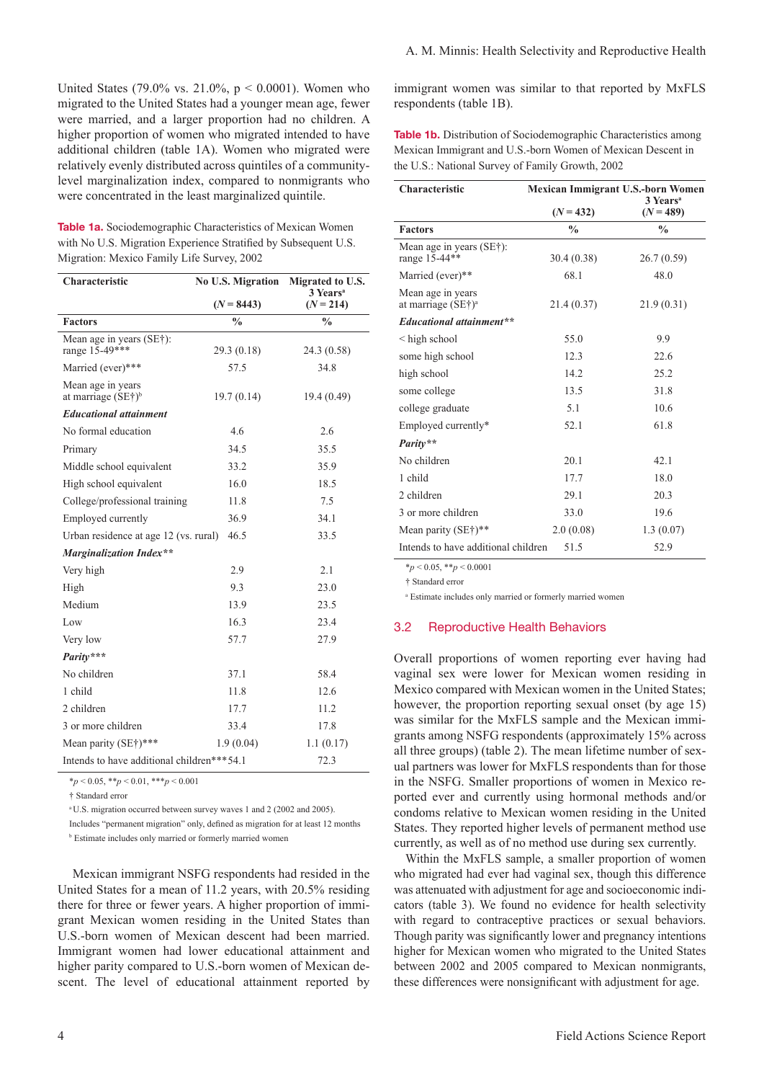United States (79.0% vs. 21.0%, p < 0.0001). Women who migrated to the United States had a younger mean age, fewer were married, and a larger proportion had no children. A higher proportion of women who migrated intended to have additional children (table 1A). Women who migrated were relatively evenly distributed across quintiles of a communitylevel marginalization index, compared to nonmigrants who were concentrated in the least marginalized quintile.

Table 1a. Sociodemographic Characteristics of Mexican Women with No U.S. Migration Experience Stratified by Subsequent U.S. Migration: Mexico Family Life Survey, 2002

| Characteristic                             | <b>No U.S. Migration</b> | Migrated to U.S.<br>3 Years <sup>a</sup> |  |  |
|--------------------------------------------|--------------------------|------------------------------------------|--|--|
|                                            | $(N = 8443)$             | $(N = 214)$                              |  |  |
| <b>Factors</b>                             | $\frac{0}{0}$            | $\frac{0}{0}$                            |  |  |
| Mean age in years (SE†):<br>range 15-49*** | 29.3(0.18)               | 24.3 (0.58)                              |  |  |
| Married (ever)***                          | 57.5                     | 34.8                                     |  |  |
| Mean age in years<br>at marriage $(SE†)b$  | 19.7(0.14)               | 19.4 (0.49)                              |  |  |
| <b>Educational attainment</b>              |                          |                                          |  |  |
| No formal education                        | 4.6                      | 2.6                                      |  |  |
| Primary                                    | 34.5                     | 35.5                                     |  |  |
| Middle school equivalent                   | 33.2                     | 35.9                                     |  |  |
| High school equivalent                     | 16.0                     | 18.5                                     |  |  |
| College/professional training              | 11.8                     | 7.5                                      |  |  |
| Employed currently                         | 36.9                     | 34.1                                     |  |  |
| Urban residence at age 12 (vs. rural)      | 46.5                     | 33.5                                     |  |  |
| <b>Marginalization Index**</b>             |                          |                                          |  |  |
| Very high                                  | 2.9                      | 2.1                                      |  |  |
| High                                       | 9.3                      | 23.0                                     |  |  |
| Medium                                     | 13.9                     | 23.5                                     |  |  |
| Low                                        | 16.3                     | 23.4                                     |  |  |
| Very low                                   | 57.7                     | 27.9                                     |  |  |
| Parity***                                  |                          |                                          |  |  |
| No children                                | 37.1                     | 58.4                                     |  |  |
| 1 child                                    | 11.8                     | 12.6                                     |  |  |
| 2 children                                 | 17.7                     | 11.2                                     |  |  |
| 3 or more children                         | 33.4                     | 17.8                                     |  |  |
| Mean parity (SE†)***                       | 1.9(0.04)                | 1.1(0.17)                                |  |  |
| Intends to have additional children***54.1 |                          | 72.3                                     |  |  |

\**p* < 0.05, \*\**p* < 0.01, \*\*\**p* < 0.001

† Standard error

a U.S. migration occurred between survey waves 1 and 2 (2002 and 2005).

Includes "permanent migration" only, defined as migration for at least 12 months

b Estimate includes only married or formerly married women

 Mexican immigrant NSFG respondents had resided in the United States for a mean of 11.2 years, with 20.5% residing there for three or fewer years. A higher proportion of immigrant Mexican women residing in the United States than U.S.-born women of Mexican descent had been married. Immigrant women had lower educational attainment and higher parity compared to U.S.-born women of Mexican descent. The level of educational attainment reported by

immigrant women was similar to that reported by MxFLS respondents (table 1B).

Table 1b. Distribution of Sociodemographic Characteristics among Mexican Immigrant and U.S.-born Women of Mexican Descent in the U.S.: National Survey of Family Growth, 2002

| Characteristic                                      | Mexican Immigrant U.S.-born Women<br>3 Years <sup>a</sup> |               |  |  |
|-----------------------------------------------------|-----------------------------------------------------------|---------------|--|--|
|                                                     | $(N = 432)$                                               | $(N = 489)$   |  |  |
| <b>Factors</b>                                      | $\frac{0}{0}$                                             | $\frac{0}{0}$ |  |  |
| Mean age in years (SE†):<br>range 15-44**           | 30.4 (0.38)                                               | 26.7(0.59)    |  |  |
| Married (ever)**                                    | 68.1                                                      | 48.0          |  |  |
| Mean age in years<br>at marriage (SE†) <sup>a</sup> | 21.4(0.37)                                                | 21.9(0.31)    |  |  |
| <b>Educational attainment**</b>                     |                                                           |               |  |  |
| < high school                                       | 55.0                                                      | 9.9           |  |  |
| some high school                                    | 12.3                                                      | 22.6          |  |  |
| high school                                         | 14.2                                                      | 25.2          |  |  |
| some college                                        | 13.5                                                      | 31.8          |  |  |
| college graduate                                    | 5.1                                                       | 10.6          |  |  |
| Employed currently*                                 | 52.1                                                      | 61.8          |  |  |
| Parity**                                            |                                                           |               |  |  |
| No children                                         | 20.1                                                      | 42.1          |  |  |
| 1 child                                             | 17.7                                                      | 18.0          |  |  |
| 2 children                                          | 29.1                                                      | 20.3          |  |  |
| 3 or more children                                  | 33.0                                                      | 19.6          |  |  |
| Mean parity $(SE*)$ <sup>**</sup>                   | 2.0(0.08)                                                 | 1.3(0.07)     |  |  |
| Intends to have additional children                 | 51.5                                                      | 52.9          |  |  |

\**p* < 0.05, \*\**p* < 0.0001

† Standard error

a Estimate includes only married or formerly married women

#### 3.2 Reproductive Health Behaviors

Overall proportions of women reporting ever having had vaginal sex were lower for Mexican women residing in Mexico compared with Mexican women in the United States; however, the proportion reporting sexual onset (by age 15) was similar for the MxFLS sample and the Mexican immigrants among NSFG respondents (approximately 15% across all three groups) (table 2). The mean lifetime number of sexual partners was lower for MxFLS respondents than for those in the NSFG. Smaller proportions of women in Mexico reported ever and currently using hormonal methods and/or condoms relative to Mexican women residing in the United States. They reported higher levels of permanent method use currently, as well as of no method use during sex currently.

Within the MxFLS sample, a smaller proportion of women who migrated had ever had vaginal sex, though this difference was attenuated with adjustment for age and socioeconomic indicators (table 3). We found no evidence for health selectivity with regard to contraceptive practices or sexual behaviors. Though parity was significantly lower and pregnancy intentions higher for Mexican women who migrated to the United States between 2002 and 2005 compared to Mexican nonmigrants, these differences were nonsignificant with adjustment for age.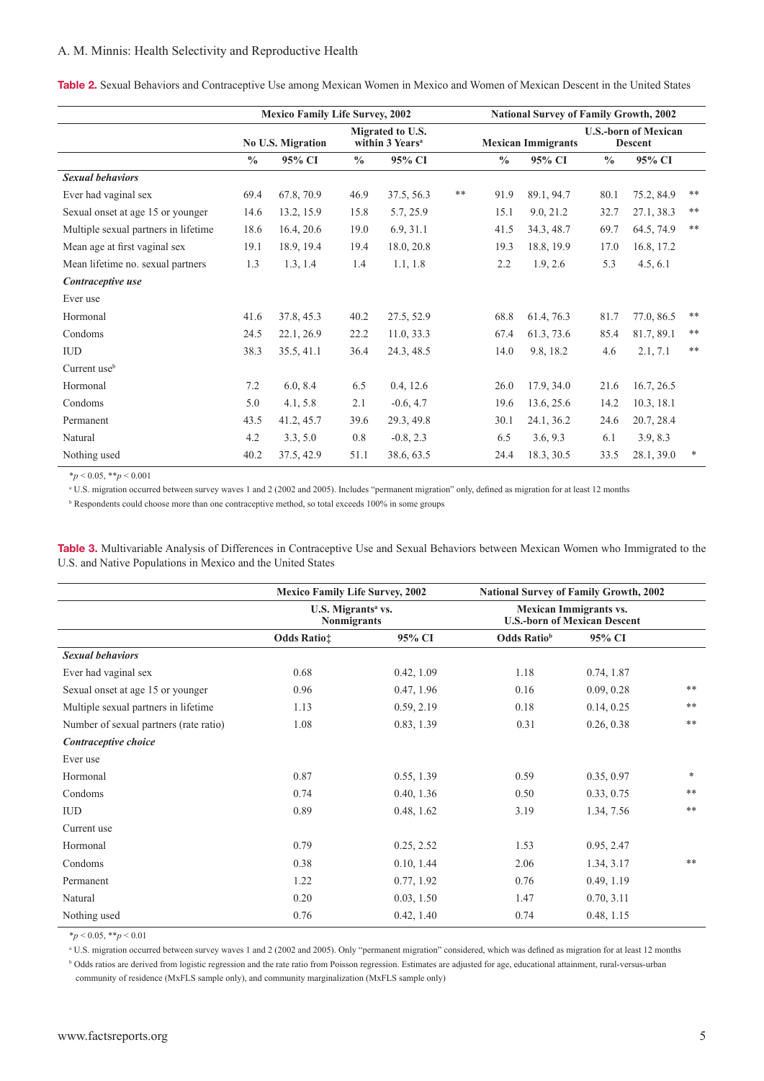#### A. M. Minnis: Health Selectivity and Reproductive Health

Table 2. Sexual Behaviors and Contraceptive Use among Mexican Women in Mexico and Women of Mexican Descent in the United States

|                                      | <b>Mexico Family Life Survey, 2002</b> |                          |               |                                                 | <b>National Survey of Family Growth, 2002</b> |               |                           |               |                                               |       |
|--------------------------------------|----------------------------------------|--------------------------|---------------|-------------------------------------------------|-----------------------------------------------|---------------|---------------------------|---------------|-----------------------------------------------|-------|
|                                      |                                        | <b>No U.S. Migration</b> |               | Migrated to U.S.<br>within 3 Years <sup>a</sup> |                                               |               | <b>Mexican Immigrants</b> |               | <b>U.S.-born of Mexican</b><br><b>Descent</b> |       |
|                                      | $\frac{0}{0}$                          | 95% CI                   | $\frac{0}{0}$ | 95% CI                                          |                                               | $\frac{0}{0}$ | 95% CI                    | $\frac{0}{0}$ | 95% CI                                        |       |
| <b>Sexual behaviors</b>              |                                        |                          |               |                                                 |                                               |               |                           |               |                                               |       |
| Ever had vaginal sex                 | 69.4                                   | 67.8, 70.9               | 46.9          | 37.5, 56.3                                      | **                                            | 91.9          | 89.1, 94.7                | 80.1          | 75.2, 84.9                                    | $***$ |
| Sexual onset at age 15 or younger    | 14.6                                   | 13.2, 15.9               | 15.8          | 5.7, 25.9                                       |                                               | 15.1          | 9.0, 21.2                 | 32.7          | 27.1, 38.3                                    | $**$  |
| Multiple sexual partners in lifetime | 18.6                                   | 16.4, 20.6               | 19.0          | 6.9, 31.1                                       |                                               | 41.5          | 34.3, 48.7                | 69.7          | 64.5, 74.9                                    | $**$  |
| Mean age at first vaginal sex        | 19.1                                   | 18.9, 19.4               | 19.4          | 18.0, 20.8                                      |                                               | 19.3          | 18.8, 19.9                | 17.0          | 16.8, 17.2                                    |       |
| Mean lifetime no. sexual partners    | 1.3                                    | 1.3, 1.4                 | 1.4           | 1.1, 1.8                                        |                                               | 2.2           | 1.9, 2.6                  | 5.3           | 4.5, 6.1                                      |       |
| Contraceptive use                    |                                        |                          |               |                                                 |                                               |               |                           |               |                                               |       |
| Ever use                             |                                        |                          |               |                                                 |                                               |               |                           |               |                                               |       |
| Hormonal                             | 41.6                                   | 37.8, 45.3               | 40.2          | 27.5, 52.9                                      |                                               | 68.8          | 61.4, 76.3                | 81.7          | 77.0, 86.5                                    | $***$ |
| Condoms                              | 24.5                                   | 22.1, 26.9               | 22.2          | 11.0, 33.3                                      |                                               | 67.4          | 61.3, 73.6                | 85.4          | 81.7, 89.1                                    | $**$  |
| <b>IUD</b>                           | 38.3                                   | 35.5, 41.1               | 36.4          | 24.3, 48.5                                      |                                               | 14.0          | 9.8, 18.2                 | 4.6           | 2.1, 7.1                                      | $**$  |
| Current use <sup>b</sup>             |                                        |                          |               |                                                 |                                               |               |                           |               |                                               |       |
| Hormonal                             | 7.2                                    | 6.0, 8.4                 | 6.5           | 0.4, 12.6                                       |                                               | 26.0          | 17.9, 34.0                | 21.6          | 16.7, 26.5                                    |       |
| Condoms                              | 5.0                                    | 4.1, 5.8                 | 2.1           | $-0.6, 4.7$                                     |                                               | 19.6          | 13.6, 25.6                | 14.2          | 10.3, 18.1                                    |       |
| Permanent                            | 43.5                                   | 41.2, 45.7               | 39.6          | 29.3, 49.8                                      |                                               | 30.1          | 24.1, 36.2                | 24.6          | 20.7, 28.4                                    |       |
| Natural                              | 4.2                                    | 3.3, 5.0                 | 0.8           | $-0.8, 2.3$                                     |                                               | 6.5           | 3.6, 9.3                  | 6.1           | 3.9, 8.3                                      |       |
| Nothing used                         | 40.2                                   | 37.5, 42.9               | 51.1          | 38.6, 63.5                                      |                                               | 24.4          | 18.3, 30.5                | 33.5          | 28.1, 39.0                                    | *     |

\**p* < 0.05, \*\**p* < 0.001

<sup>a</sup> U.S. migration occurred between survey waves 1 and 2 (2002 and 2005). Includes "permanent migration" only, defined as migration for at least 12 months

<sup>b</sup> Respondents could choose more than one contraceptive method, so total exceeds 100% in some groups

Table 3. Multivariable Analysis of Differences in Contraceptive Use and Sexual Behaviors between Mexican Women who Immigrated to the U.S. and Native Populations in Mexico and the United States

|                                        | <b>Mexico Family Life Survey, 2002</b><br>U.S. Migrants <sup>a</sup> vs.<br><b>Nonmigrants</b> |            | <b>National Survey of Family Growth, 2002</b><br><b>Mexican Immigrants vs.</b><br><b>U.S.-born of Mexican Descent</b> |            |        |
|----------------------------------------|------------------------------------------------------------------------------------------------|------------|-----------------------------------------------------------------------------------------------------------------------|------------|--------|
|                                        |                                                                                                |            |                                                                                                                       |            |        |
|                                        | <b>Odds Ratio</b> :                                                                            | 95% CI     | <b>Odds Ratio</b> b                                                                                                   | 95% CI     |        |
| <b>Sexual behaviors</b>                |                                                                                                |            |                                                                                                                       |            |        |
| Ever had vaginal sex                   | 0.68                                                                                           | 0.42, 1.09 | 1.18                                                                                                                  | 0.74, 1.87 |        |
| Sexual onset at age 15 or younger      | 0.96                                                                                           | 0.47, 1.96 | 0.16                                                                                                                  | 0.09, 0.28 | **     |
| Multiple sexual partners in lifetime   | 1.13                                                                                           | 0.59, 2.19 | 0.18                                                                                                                  | 0.14, 0.25 | **     |
| Number of sexual partners (rate ratio) | 1.08                                                                                           | 0.83, 1.39 | 0.31                                                                                                                  | 0.26, 0.38 | $**$   |
| Contraceptive choice                   |                                                                                                |            |                                                                                                                       |            |        |
| Ever use                               |                                                                                                |            |                                                                                                                       |            |        |
| Hormonal                               | 0.87                                                                                           | 0.55, 1.39 | 0.59                                                                                                                  | 0.35, 0.97 | $\ast$ |
| Condoms                                | 0.74                                                                                           | 0.40, 1.36 | 0.50                                                                                                                  | 0.33, 0.75 | $***$  |
| <b>IUD</b>                             | 0.89                                                                                           | 0.48, 1.62 | 3.19                                                                                                                  | 1.34, 7.56 | $***$  |
| Current use                            |                                                                                                |            |                                                                                                                       |            |        |
| Hormonal                               | 0.79                                                                                           | 0.25, 2.52 | 1.53                                                                                                                  | 0.95, 2.47 |        |
| Condoms                                | 0.38                                                                                           | 0.10, 1.44 | 2.06                                                                                                                  | 1.34, 3.17 | **     |
| Permanent                              | 1.22                                                                                           | 0.77, 1.92 | 0.76                                                                                                                  | 0.49, 1.19 |        |
| Natural                                | 0.20                                                                                           | 0.03, 1.50 | 1.47                                                                                                                  | 0.70, 3.11 |        |
| Nothing used                           | 0.76                                                                                           | 0.42, 1.40 | 0.74                                                                                                                  | 0.48, 1.15 |        |

\**p* < 0.05, \*\**p* < 0.01

<sup>a</sup> U.S. migration occurred between survey waves 1 and 2 (2002 and 2005). Only "permanent migration" considered, which was defined as migration for at least 12 months

<sup>b</sup> Odds ratios are derived from logistic regression and the rate ratio from Poisson regression. Estimates are adjusted for age, educational attainment, rural-versus-urban community of residence (MxFLS sample only), and community marginalization (MxFLS sample only)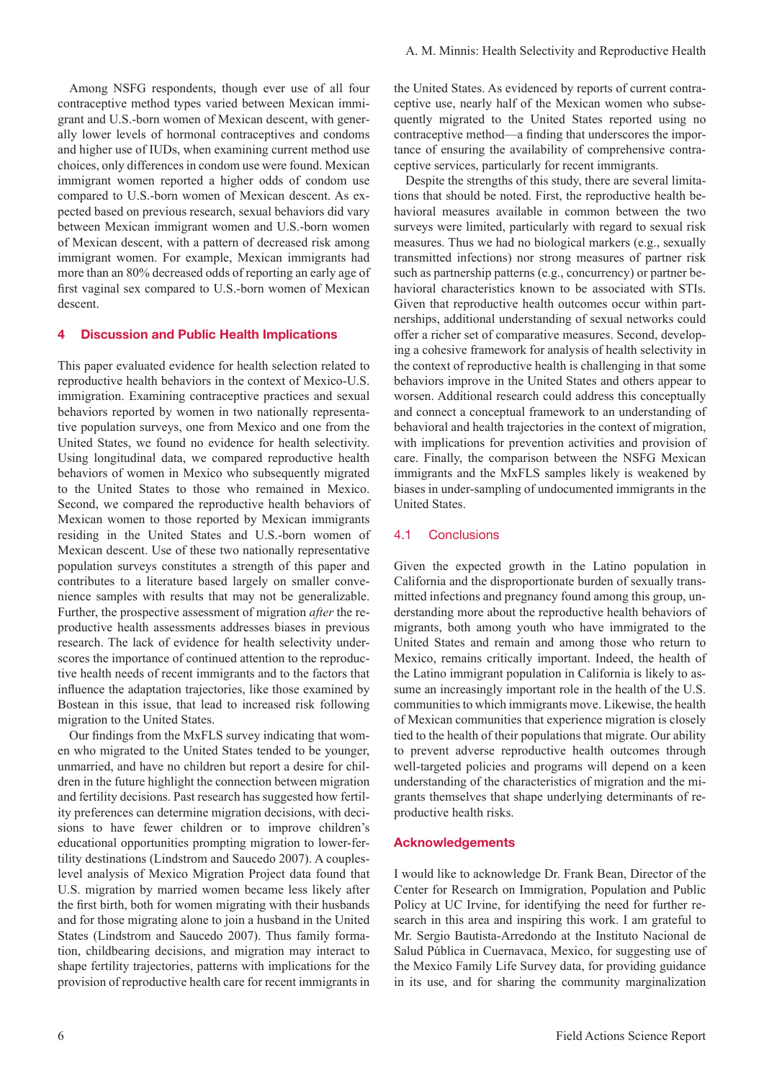Among NSFG respondents, though ever use of all four contraceptive method types varied between Mexican immigrant and U.S.-born women of Mexican descent, with generally lower levels of hormonal contraceptives and condoms and higher use of IUDs, when examining current method use choices, only differences in condom use were found. Mexican immigrant women reported a higher odds of condom use compared to U.S.-born women of Mexican descent. As expected based on previous research, sexual behaviors did vary between Mexican immigrant women and U.S.-born women of Mexican descent, with a pattern of decreased risk among immigrant women. For example, Mexican immigrants had more than an 80% decreased odds of reporting an early age of first vaginal sex compared to U.S.-born women of Mexican descent.

#### 4 Discussion and Public Health Implications

This paper evaluated evidence for health selection related to reproductive health behaviors in the context of Mexico-U.S. immigration. Examining contraceptive practices and sexual behaviors reported by women in two nationally representative population surveys, one from Mexico and one from the United States, we found no evidence for health selectivity. Using longitudinal data, we compared reproductive health behaviors of women in Mexico who subsequently migrated to the United States to those who remained in Mexico. Second, we compared the reproductive health behaviors of Mexican women to those reported by Mexican immigrants residing in the United States and U.S.-born women of Mexican descent. Use of these two nationally representative population surveys constitutes a strength of this paper and contributes to a literature based largely on smaller convenience samples with results that may not be generalizable. Further, the prospective assessment of migration *after* the reproductive health assessments addresses biases in previous research. The lack of evidence for health selectivity underscores the importance of continued attention to the reproductive health needs of recent immigrants and to the factors that influence the adaptation trajectories, like those examined by Bostean in this issue, that lead to increased risk following migration to the United States.

Our findings from the MxFLS survey indicating that women who migrated to the United States tended to be younger, unmarried, and have no children but report a desire for children in the future highlight the connection between migration and fertility decisions. Past research has suggested how fertility preferences can determine migration decisions, with decisions to have fewer children or to improve children's educational opportunities prompting migration to lower-fertility destinations (Lindstrom and Saucedo 2007). A coupleslevel analysis of Mexico Migration Project data found that U.S. migration by married women became less likely after the first birth, both for women migrating with their husbands and for those migrating alone to join a husband in the United States (Lindstrom and Saucedo 2007). Thus family formation, childbearing decisions, and migration may interact to shape fertility trajectories, patterns with implications for the provision of reproductive health care for recent immigrants in

the United States. As evidenced by reports of current contraceptive use, nearly half of the Mexican women who subsequently migrated to the United States reported using no contraceptive method—a finding that underscores the importance of ensuring the availability of comprehensive contraceptive services, particularly for recent immigrants.

Despite the strengths of this study, there are several limitations that should be noted. First, the reproductive health behavioral measures available in common between the two surveys were limited, particularly with regard to sexual risk measures. Thus we had no biological markers (e.g., sexually transmitted infections) nor strong measures of partner risk such as partnership patterns (e.g., concurrency) or partner behavioral characteristics known to be associated with STIs. Given that reproductive health outcomes occur within partnerships, additional understanding of sexual networks could offer a richer set of comparative measures. Second, developing a cohesive framework for analysis of health selectivity in the context of reproductive health is challenging in that some behaviors improve in the United States and others appear to worsen. Additional research could address this conceptually and connect a conceptual framework to an understanding of behavioral and health trajectories in the context of migration, with implications for prevention activities and provision of care. Finally, the comparison between the NSFG Mexican immigrants and the MxFLS samples likely is weakened by biases in under-sampling of undocumented immigrants in the United States.

#### 4.1 Conclusions

Given the expected growth in the Latino population in California and the disproportionate burden of sexually transmitted infections and pregnancy found among this group, understanding more about the reproductive health behaviors of migrants, both among youth who have immigrated to the United States and remain and among those who return to Mexico, remains critically important. Indeed, the health of the Latino immigrant population in California is likely to assume an increasingly important role in the health of the U.S. communities to which immigrants move. Likewise, the health of Mexican communities that experience migration is closely tied to the health of their populations that migrate. Our ability to prevent adverse reproductive health outcomes through well-targeted policies and programs will depend on a keen understanding of the characteristics of migration and the migrants themselves that shape underlying determinants of reproductive health risks.

#### Acknowledgements

I would like to acknowledge Dr. Frank Bean, Director of the Center for Research on Immigration, Population and Public Policy at UC Irvine, for identifying the need for further research in this area and inspiring this work. I am grateful to Mr. Sergio Bautista-Arredondo at the Instituto Nacional de Salud Pública in Cuernavaca, Mexico, for suggesting use of the Mexico Family Life Survey data, for providing guidance in its use, and for sharing the community marginalization